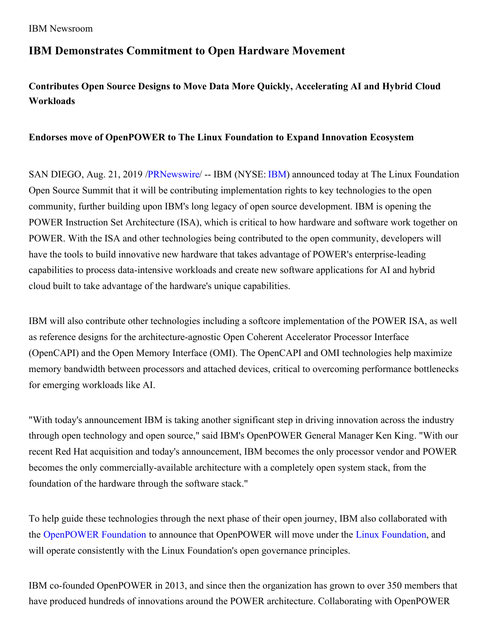## **IBM Demonstrates Commitment to Open Hardware Movement**

# **Contributes Open Source Designs to Move Data More Quickly, Accelerating AI and Hybrid Cloud Workloads**

### **Endorses move of OpenPOWER to The Linux Foundation to Expand Innovation Ecosystem**

SAN DIEGO, Aug. 21, 2019 [/PRNewswire](http://www.prnewswire.com/)/ -- IBM (NYSE: [IBM\)](https://c212.net/c/link/?t=0&l=en&o=2557555-1&h=2560529272&u=http%3A%2F%2Fwww.ibm.com%2Finvestor&a=IBM) announced today at The Linux Foundation Open Source Summit that it will be contributing implementation rights to key technologies to the open community, further building upon IBM's long legacy of open source development. IBM is opening the POWER Instruction Set Architecture (ISA), which is critical to how hardware and software work together on POWER. With the ISA and other technologies being contributed to the open community, developers will have the tools to build innovative new hardware that takes advantage of POWER's enterprise-leading capabilities to process data-intensive workloads and create new software applications for AI and hybrid cloud built to take advantage of the hardware's unique capabilities.

IBM will also contribute other technologies including a softcore implementation of the POWER ISA, as well as reference designs for the architecture-agnostic Open Coherent Accelerator Processor Interface (OpenCAPI) and the Open Memory Interface (OMI). The OpenCAPI and OMI technologies help maximize memory bandwidth between processors and attached devices, critical to overcoming performance bottlenecks for emerging workloads like AI.

"With today's announcement IBM is taking another significant step in driving innovation across the industry through open technology and open source," said IBM's OpenPOWER General Manager Ken King. "With our recent Red Hat acquisition and today's announcement, IBM becomes the only processor vendor and POWER becomes the only commercially-available architecture with a completely open system stack, from the foundation of the hardware through the software stack."

To help guide these technologies through the next phase of their open journey, IBM also collaborated with the [OpenPOWER](https://c212.net/c/link/?t=0&l=en&o=2557555-1&h=4176705367&u=https%3A%2F%2Fopenpowerfoundation.org%2Fthe-next-step-in-the-openpower-foundation-journey%2F&a=OpenPOWER+Foundation) Foundation to announce that OpenPOWER will move under the Linux [Foundation](https://c212.net/c/link/?t=0&l=en&o=2557555-1&h=1319191802&u=https%3A%2F%2Fwww.linuxfoundation.org%2Fnewsroom%2Fblog%2F&a=Linux+Foundation), and will operate consistently with the Linux Foundation's open governance principles.

IBM co-founded OpenPOWER in 2013, and since then the organization has grown to over 350 members that have produced hundreds of innovations around the POWER architecture. Collaborating with OpenPOWER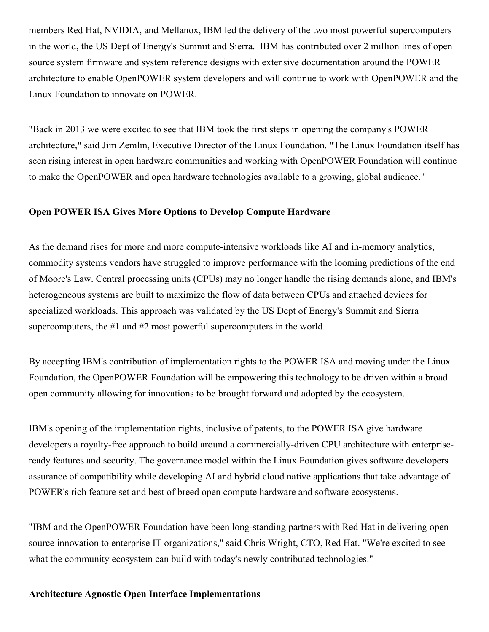members Red Hat, NVIDIA, and Mellanox, IBM led the delivery of the two most powerful supercomputers in the world, the US Dept of Energy's Summit and Sierra. IBM has contributed over 2 million lines of open source system firmware and system reference designs with extensive documentation around the POWER architecture to enable OpenPOWER system developers and will continue to work with OpenPOWER and the Linux Foundation to innovate on POWER.

"Back in 2013 we were excited to see that IBM took the first steps in opening the company's POWER architecture," said Jim Zemlin, Executive Director of the Linux Foundation. "The Linux Foundation itself has seen rising interest in open hardware communities and working with OpenPOWER Foundation will continue to make the OpenPOWER and open hardware technologies available to a growing, global audience."

#### **Open POWER ISA Gives More Options to Develop Compute Hardware**

As the demand rises for more and more compute-intensive workloads like AI and in-memory analytics, commodity systems vendors have struggled to improve performance with the looming predictions of the end of Moore's Law. Central processing units (CPUs) may no longer handle the rising demands alone, and IBM's heterogeneous systems are built to maximize the flow of data between CPUs and attached devices for specialized workloads. This approach was validated by the US Dept of Energy's Summit and Sierra supercomputers, the #1 and #2 most powerful supercomputers in the world.

By accepting IBM's contribution of implementation rights to the POWER ISA and moving under the Linux Foundation, the OpenPOWER Foundation will be empowering this technology to be driven within a broad open community allowing for innovations to be brought forward and adopted by the ecosystem.

IBM's opening of the implementation rights, inclusive of patents, to the POWER ISA give hardware developers a royalty-free approach to build around a commercially-driven CPU architecture with enterpriseready features and security. The governance model within the Linux Foundation gives software developers assurance of compatibility while developing AI and hybrid cloud native applications that take advantage of POWER's rich feature set and best of breed open compute hardware and software ecosystems.

"IBM and the OpenPOWER Foundation have been long-standing partners with Red Hat in delivering open source innovation to enterprise IT organizations," said Chris Wright, CTO, Red Hat. "We're excited to see what the community ecosystem can build with today's newly contributed technologies."

#### **Architecture Agnostic Open Interface Implementations**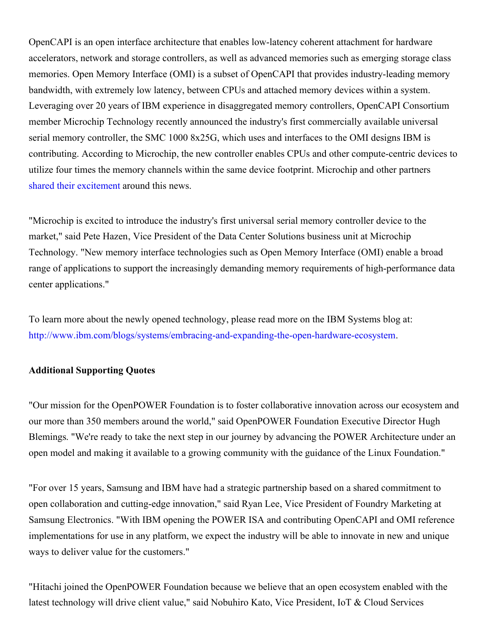OpenCAPI is an open interface architecture that enables low-latency coherent attachment for hardware accelerators, network and storage controllers, as well as advanced memories such as emerging storage class memories. Open Memory Interface (OMI) is a subset of OpenCAPI that provides industry-leading memory bandwidth, with extremely low latency, between CPUs and attached memory devices within a system. Leveraging over 20 years of IBM experience in disaggregated memory controllers, OpenCAPI Consortium member Microchip Technology recently announced the industry's first commercially available universal serial memory controller, the SMC 1000 8x25G, which uses and interfaces to the OMI designs IBM is contributing. According to Microchip, the new controller enables CPUs and other compute-centric devices to utilize four times the memory channels within the same device footprint. Microchip and other partners shared their [excitement](https://c212.net/c/link/?t=0&l=en&o=2557555-1&h=276800415&u=https%3A%2F%2Fwww.prnewswire.com%2Fnews-releases%2Fmicrochip-enters-memory-infrastructure-market-with-serial-memory-controller-for-high-performance-data-center-computing-300895915.html&a=shared+their+excitement) around this news.

"Microchip is excited to introduce the industry's first universal serial memory controller device to the market," said Pete Hazen, Vice President of the Data Center Solutions business unit at Microchip Technology. "New memory interface technologies such as Open Memory Interface (OMI) enable a broad range of applications to support the increasingly demanding memory requirements of high-performance data center applications."

To learn more about the newly opened technology, please read more on the IBM Systems blog at: [http://www.ibm.com/blogs/systems/embracing-and-expanding-the-open-hardware-ecosystem](https://c212.net/c/link/?t=0&l=en&o=2557555-1&h=3836251430&u=http%3A%2F%2Fwww.ibm.com%2Fblogs%2Fsystems%2Fembracing-and-expanding-the-open-hardware-ecosystem&a=http%3A%2F%2Fwww.ibm.com%2Fblogs%2Fsystems%2Fembracing-and-expanding-the-open-hardware-ecosystem).

### **Additional Supporting Quotes**

"Our mission for the OpenPOWER Foundation is to foster collaborative innovation across our ecosystem and our more than 350 members around the world," said OpenPOWER Foundation Executive Director Hugh Blemings. "We're ready to take the next step in our journey by advancing the POWER Architecture under an open model and making it available to a growing community with the guidance of the Linux Foundation."

"For over 15 years, Samsung and IBM have had a strategic partnership based on a shared commitment to open collaboration and cutting-edge innovation," said Ryan Lee, Vice President of Foundry Marketing at Samsung Electronics. "With IBM opening the POWER ISA and contributing OpenCAPI and OMI reference implementations for use in any platform, we expect the industry will be able to innovate in new and unique ways to deliver value for the customers."

"Hitachi joined the OpenPOWER Foundation because we believe that an open ecosystem enabled with the latest technology will drive client value," said Nobuhiro Kato, Vice President, IoT & Cloud Services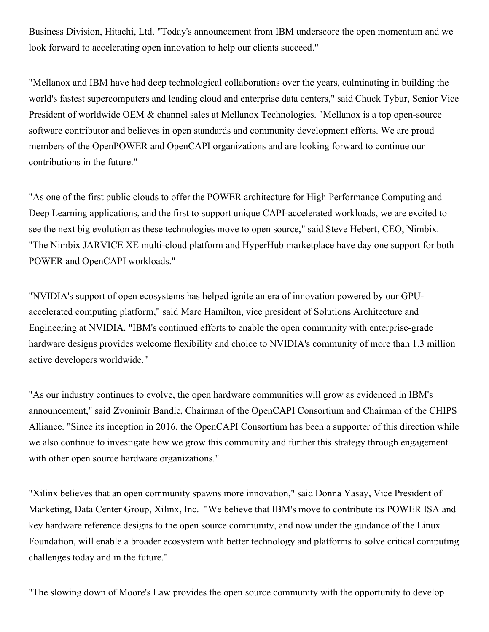Business Division, Hitachi, Ltd. "Today's announcement from IBM underscore the open momentum and we look forward to accelerating open innovation to help our clients succeed."

"Mellanox and IBM have had deep technological collaborations over the years, culminating in building the world's fastest supercomputers and leading cloud and enterprise data centers," said Chuck Tybur, Senior Vice President of worldwide OEM & channel sales at Mellanox Technologies. "Mellanox is a top open-source software contributor and believes in open standards and community development efforts. We are proud members of the OpenPOWER and OpenCAPI organizations and are looking forward to continue our contributions in the future."

"As one of the first public clouds to offer the POWER architecture for High Performance Computing and Deep Learning applications, and the first to support unique CAPI-accelerated workloads, we are excited to see the next big evolution as these technologies move to open source," said Steve Hebert, CEO, Nimbix. "The Nimbix JARVICE XE multi-cloud platform and HyperHub marketplace have day one support for both POWER and OpenCAPI workloads."

"NVIDIA's support of open ecosystems has helped ignite an era of innovation powered by our GPUaccelerated computing platform," said Marc Hamilton, vice president of Solutions Architecture and Engineering at NVIDIA. "IBM's continued efforts to enable the open community with enterprise-grade hardware designs provides welcome flexibility and choice to NVIDIA's community of more than 1.3 million active developers worldwide."

"As our industry continues to evolve, the open hardware communities will grow as evidenced in IBM's announcement," said Zvonimir Bandic, Chairman of the OpenCAPI Consortium and Chairman of the CHIPS Alliance. "Since its inception in 2016, the OpenCAPI Consortium has been a supporter of this direction while we also continue to investigate how we grow this community and further this strategy through engagement with other open source hardware organizations."

"Xilinx believes that an open community spawns more innovation," said Donna Yasay, Vice President of Marketing, Data Center Group, Xilinx, Inc. "We believe that IBM's move to contribute its POWER ISA and key hardware reference designs to the open source community, and now under the guidance of the Linux Foundation, will enable a broader ecosystem with better technology and platforms to solve critical computing challenges today and in the future."

"The slowing down of Moore's Law provides the open source community with the opportunity to develop